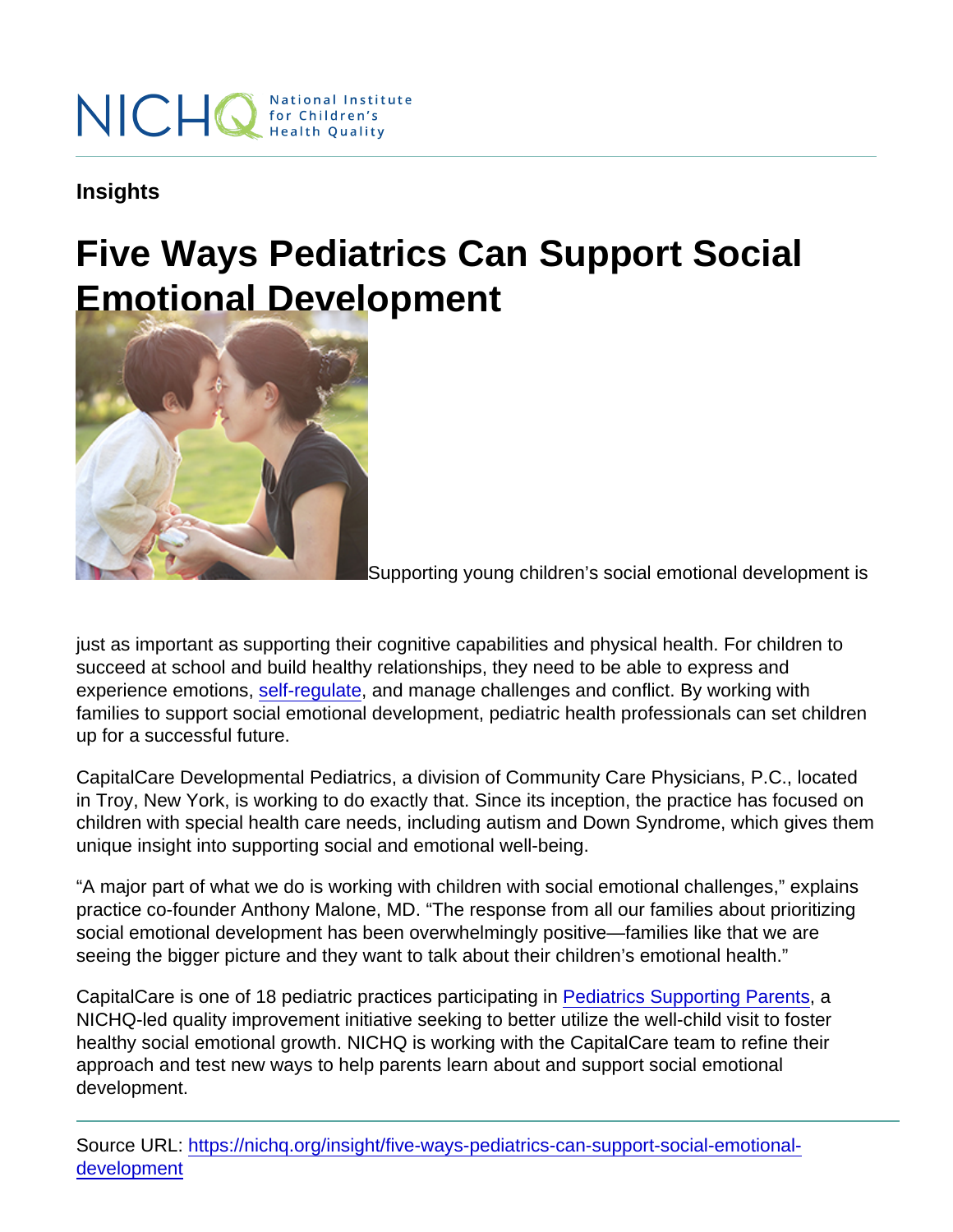Insights

# Five Ways Pediatrics Can Support Social Emotional Development

Supporting young children's social emotional development is

just as important as supporting their cognitive capabilities and physical health. For children to succeed at school and build healthy relationships, they need to be able to express and experience emotions, [self-regulate](https://nichq.org/insight/childrens-social-and-emotional-development-starts-co-regulation), and manage challenges and conflict. By working with families to support social emotional development, pediatric health professionals can set children up for a successful future.

CapitalCare Developmental Pediatrics, a division of Community Care Physicians, P.C., located in Troy, New York, is working to do exactly that. Since its inception, the practice has focused on children with special health care needs, including autism and Down Syndrome, which gives them unique insight into supporting social and emotional well-being.

"A major part of what we do is working with children with social emotional challenges," explains practice co-founder Anthony Malone, MD. "The response from all our families about prioritizing social emotional development has been overwhelmingly positive—families like that we are seeing the bigger picture and they want to talk about their children's emotional health."

CapitalCare is one of 18 pediatric practices participating in [Pediatrics Supporting Parents,](https://nichq.org/project/pediatrics-supporting-parents) a NICHQ-led quality improvement initiative seeking to better utilize the well-child visit to foster healthy social emotional growth. NICHQ is working with the CapitalCare team to refine their approach and test new ways to help parents learn about and support social emotional development.

Source URL: [https://nichq.org/insight/five-ways-pediatrics-can-support-social-emotional](https://nichq.org/insight/five-ways-pediatrics-can-support-social-emotional-development)[development](https://nichq.org/insight/five-ways-pediatrics-can-support-social-emotional-development)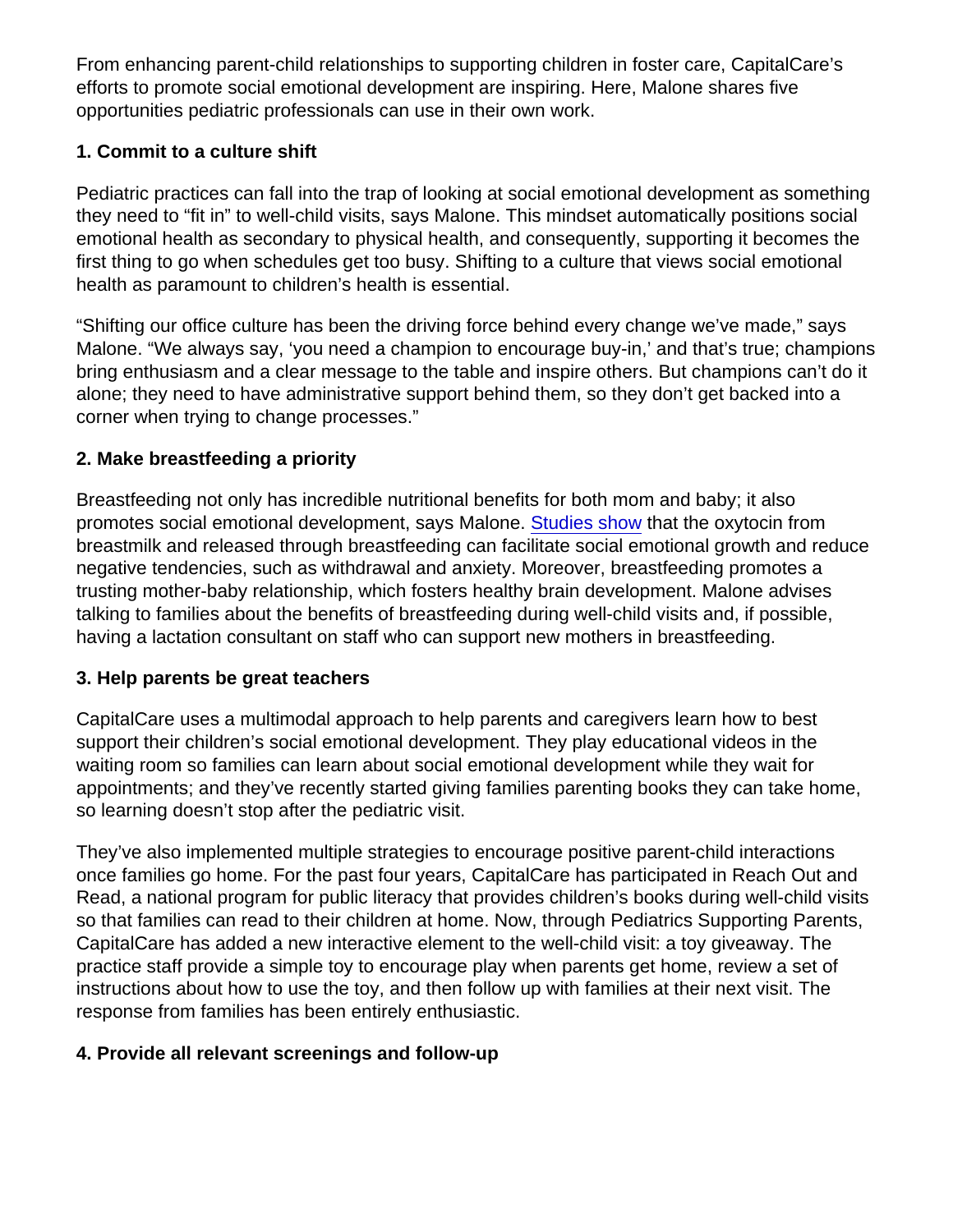From enhancing parent-child relationships to supporting children in foster care, CapitalCare's efforts to promote social emotional development are inspiring. Here, Malone shares five opportunities pediatric professionals can use in their own work.

### 1. Commit to a culture shift

Pediatric practices can fall into the trap of looking at social emotional development as something they need to "fit in" to well-child visits, says Malone. This mindset automatically positions social emotional health as secondary to physical health, and consequently, supporting it becomes the first thing to go when schedules get too busy. Shifting to a culture that views social emotional health as paramount to children's health is essential.

"Shifting our office culture has been the driving force behind every change we've made," says Malone. "We always say, 'you need a champion to encourage buy-in,' and that's true; champions bring enthusiasm and a clear message to the table and inspire others. But champions can't do it alone; they need to have administrative support behind them, so they don't get backed into a corner when trying to change processes."

## 2. Make breastfeeding a priority

Breastfeeding not only has incredible nutritional benefits for both mom and baby; it also promotes social emotional development, says Malone. [Studies show](https://www.ncbi.nlm.nih.gov/pmc/articles/PMC6096620/) that the oxytocin from breastmilk and released through breastfeeding can facilitate social emotional growth and reduce negative tendencies, such as withdrawal and anxiety. Moreover, breastfeeding promotes a trusting mother-baby relationship, which fosters healthy brain development. Malone advises talking to families about the benefits of breastfeeding during well-child visits and, if possible, having a lactation consultant on staff who can support new mothers in breastfeeding.

### 3. Help parents be great teachers

CapitalCare uses a multimodal approach to help parents and caregivers learn how to best support their children's social emotional development. They play educational videos in the waiting room so families can learn about social emotional development while they wait for appointments; and they've recently started giving families parenting books they can take home, so learning doesn't stop after the pediatric visit.

They've also implemented multiple strategies to encourage positive parent-child interactions once families go home. For the past four years, CapitalCare has participated in Reach Out and Read, a national program for public literacy that provides children's books during well-child visits so that families can read to their children at home. Now, through Pediatrics Supporting Parents, CapitalCare has added a new interactive element to the well-child visit: a toy giveaway. The practice staff provide a simple toy to encourage play when parents get home, review a set of instructions about how to use the toy, and then follow up with families at their next visit. The response from families has been entirely enthusiastic.

### 4. Provide all relevant screenings and follow-up